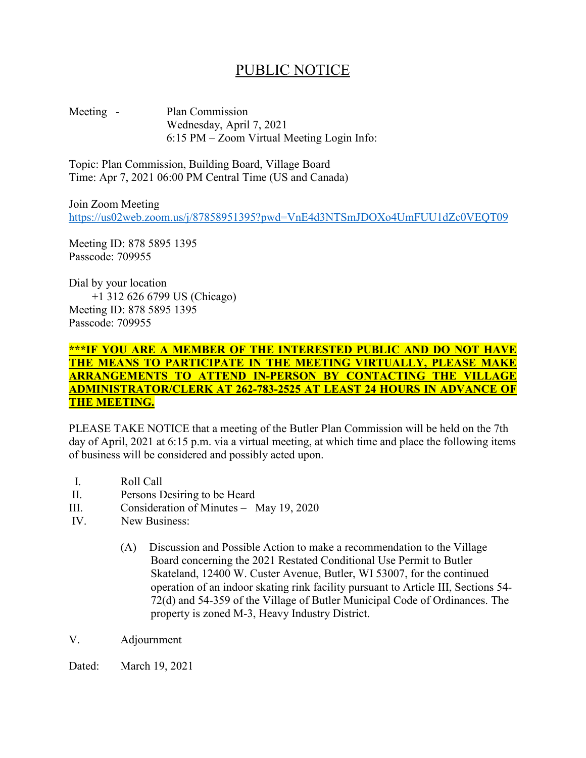## PUBLIC NOTICE

Meeting - Plan Commission Wednesday, April 7, 2021 6:15 PM – Zoom Virtual Meeting Login Info:

Topic: Plan Commission, Building Board, Village Board Time: Apr 7, 2021 06:00 PM Central Time (US and Canada)

Join Zoom Meeting <https://us02web.zoom.us/j/87858951395?pwd=VnE4d3NTSmJDOXo4UmFUU1dZc0VEQT09>

Meeting ID: 878 5895 1395 Passcode: 709955

Dial by your location +1 312 626 6799 US (Chicago) Meeting ID: 878 5895 1395 Passcode: 709955

## **\*\*\*IF YOU ARE A MEMBER OF THE INTERESTED PUBLIC AND DO NOT HAVE THE MEANS TO PARTICIPATE IN THE MEETING VIRTUALLY, PLEASE MAKE ARRANGEMENTS TO ATTEND IN-PERSON BY CONTACTING THE VILLAGE ADMINISTRATOR/CLERK AT 262-783-2525 AT LEAST 24 HOURS IN ADVANCE OF THE MEETING.**

PLEASE TAKE NOTICE that a meeting of the Butler Plan Commission will be held on the 7th day of April, 2021 at 6:15 p.m. via a virtual meeting, at which time and place the following items of business will be considered and possibly acted upon.

- I. Roll Call
- II. Persons Desiring to be Heard
- III. Consideration of Minutes May 19, 2020
- IV. New Business:
	- (A) Discussion and Possible Action to make a recommendation to the Village Board concerning the 2021 Restated Conditional Use Permit to Butler Skateland, 12400 W. Custer Avenue, Butler, WI 53007, for the continued operation of an indoor skating rink facility pursuant to Article III, Sections 54- 72(d) and 54-359 of the Village of Butler Municipal Code of Ordinances. The property is zoned M-3, Heavy Industry District.
- V. Adjournment

Dated: March 19, 2021